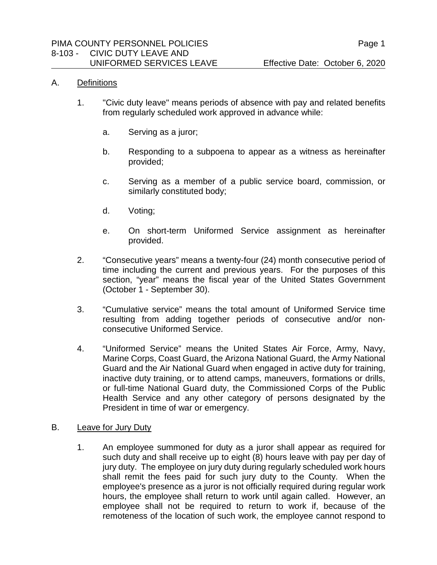#### A. Definitions

- 1. "Civic duty leave" means periods of absence with pay and related benefits from regularly scheduled work approved in advance while:
	- a. Serving as a juror;
	- b. Responding to a subpoena to appear as a witness as hereinafter provided;
	- c. Serving as a member of a public service board, commission, or similarly constituted body;
	- d. Voting;
	- e. On short-term Uniformed Service assignment as hereinafter provided.
- 2. "Consecutive years" means a twenty-four (24) month consecutive period of time including the current and previous years. For the purposes of this section, "year" means the fiscal year of the United States Government (October 1 - September 30).
- 3. "Cumulative service" means the total amount of Uniformed Service time resulting from adding together periods of consecutive and/or nonconsecutive Uniformed Service.
- 4. "Uniformed Service" means the United States Air Force, Army, Navy, Marine Corps, Coast Guard, the Arizona National Guard, the Army National Guard and the Air National Guard when engaged in active duty for training, inactive duty training, or to attend camps, maneuvers, formations or drills, or full-time National Guard duty, the Commissioned Corps of the Public Health Service and any other category of persons designated by the President in time of war or emergency.

#### B. Leave for Jury Duty

1. An employee summoned for duty as a juror shall appear as required for such duty and shall receive up to eight (8) hours leave with pay per day of jury duty. The employee on jury duty during regularly scheduled work hours shall remit the fees paid for such jury duty to the County. When the employee's presence as a juror is not officially required during regular work hours, the employee shall return to work until again called. However, an employee shall not be required to return to work if, because of the remoteness of the location of such work, the employee cannot respond to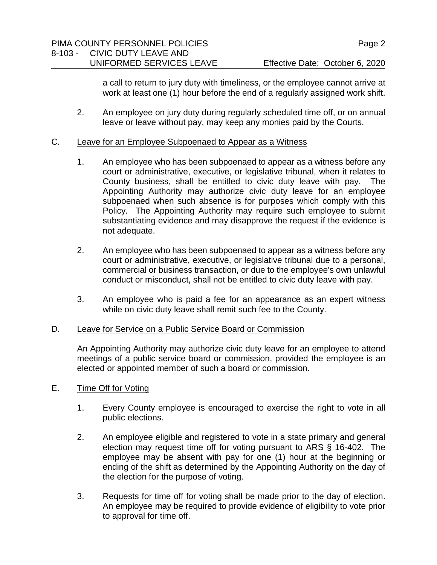a call to return to jury duty with timeliness, or the employee cannot arrive at work at least one (1) hour before the end of a regularly assigned work shift.

- 2. An employee on jury duty during regularly scheduled time off, or on annual leave or leave without pay, may keep any monies paid by the Courts.
- C. Leave for an Employee Subpoenaed to Appear as a Witness
	- 1. An employee who has been subpoenaed to appear as a witness before any court or administrative, executive, or legislative tribunal, when it relates to County business, shall be entitled to civic duty leave with pay. The Appointing Authority may authorize civic duty leave for an employee subpoenaed when such absence is for purposes which comply with this Policy. The Appointing Authority may require such employee to submit substantiating evidence and may disapprove the request if the evidence is not adequate.
	- 2. An employee who has been subpoenaed to appear as a witness before any court or administrative, executive, or legislative tribunal due to a personal, commercial or business transaction, or due to the employee's own unlawful conduct or misconduct, shall not be entitled to civic duty leave with pay.
	- 3. An employee who is paid a fee for an appearance as an expert witness while on civic duty leave shall remit such fee to the County.

# D. Leave for Service on a Public Service Board or Commission

An Appointing Authority may authorize civic duty leave for an employee to attend meetings of a public service board or commission, provided the employee is an elected or appointed member of such a board or commission.

- E. Time Off for Voting
	- 1. Every County employee is encouraged to exercise the right to vote in all public elections.
	- 2. An employee eligible and registered to vote in a state primary and general election may request time off for voting pursuant to ARS § 16-402. The employee may be absent with pay for one (1) hour at the beginning or ending of the shift as determined by the Appointing Authority on the day of the election for the purpose of voting.
	- 3. Requests for time off for voting shall be made prior to the day of election. An employee may be required to provide evidence of eligibility to vote prior to approval for time off.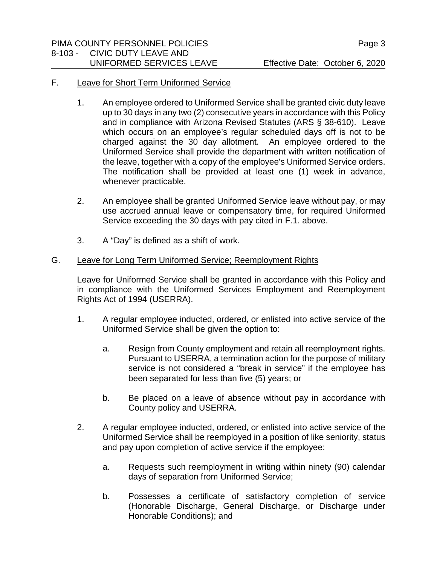# F. Leave for Short Term Uniformed Service

- 1. An employee ordered to Uniformed Service shall be granted civic duty leave up to 30 days in any two (2) consecutive years in accordance with this Policy and in compliance with Arizona Revised Statutes (ARS § 38-610). Leave which occurs on an employee's regular scheduled days off is not to be charged against the 30 day allotment. An employee ordered to the Uniformed Service shall provide the department with written notification of the leave, together with a copy of the employee's Uniformed Service orders. The notification shall be provided at least one (1) week in advance, whenever practicable.
- 2. An employee shall be granted Uniformed Service leave without pay, or may use accrued annual leave or compensatory time, for required Uniformed Service exceeding the 30 days with pay cited in F.1. above.
- 3. A "Day" is defined as a shift of work.

# G. Leave for Long Term Uniformed Service; Reemployment Rights

Leave for Uniformed Service shall be granted in accordance with this Policy and in compliance with the Uniformed Services Employment and Reemployment Rights Act of 1994 (USERRA).

- 1. A regular employee inducted, ordered, or enlisted into active service of the Uniformed Service shall be given the option to:
	- a. Resign from County employment and retain all reemployment rights. Pursuant to USERRA, a termination action for the purpose of military service is not considered a "break in service" if the employee has been separated for less than five (5) years; or
	- b. Be placed on a leave of absence without pay in accordance with County policy and USERRA.
- 2. A regular employee inducted, ordered, or enlisted into active service of the Uniformed Service shall be reemployed in a position of like seniority, status and pay upon completion of active service if the employee:
	- a. Requests such reemployment in writing within ninety (90) calendar days of separation from Uniformed Service;
	- b. Possesses a certificate of satisfactory completion of service (Honorable Discharge, General Discharge, or Discharge under Honorable Conditions); and